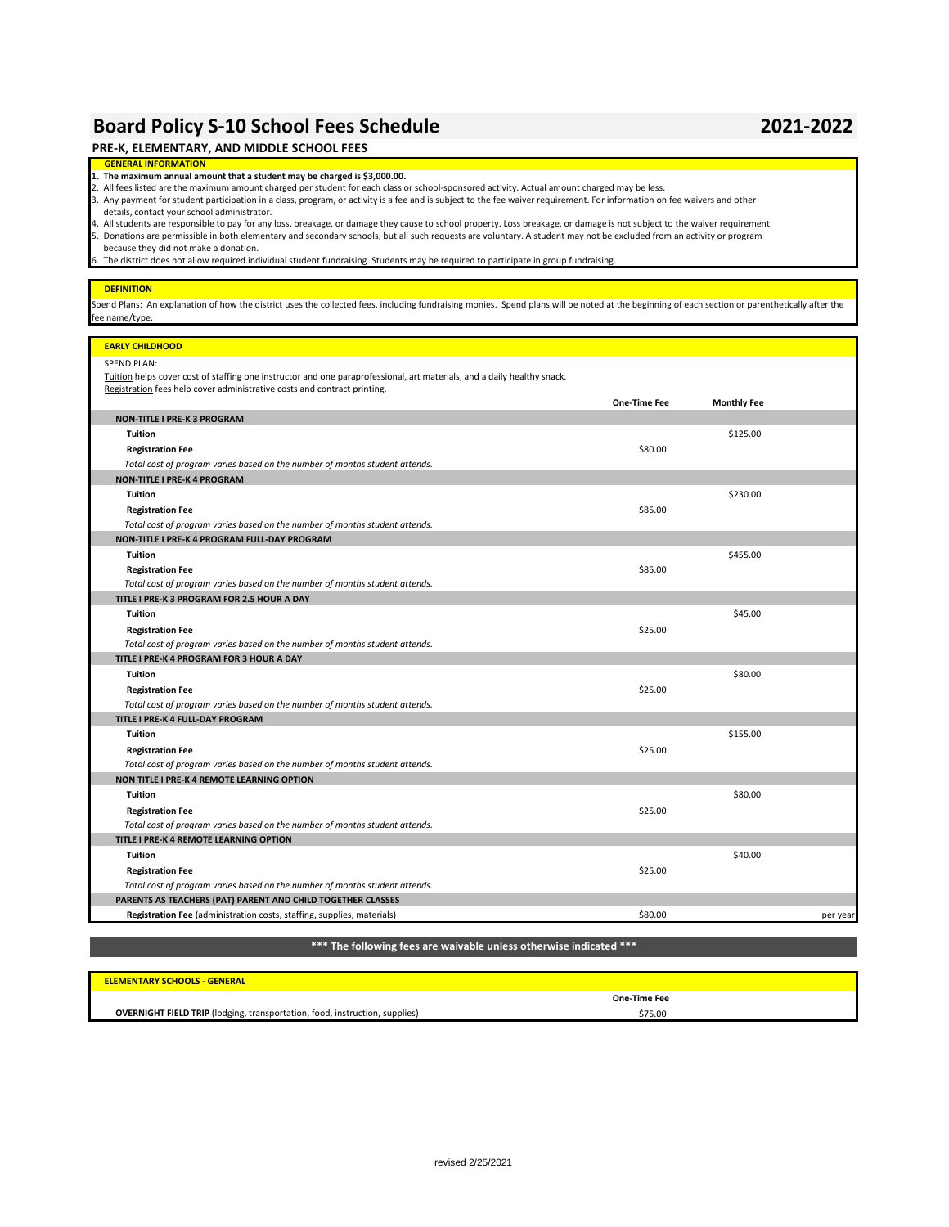## **Board Policy S-10 School Fees Schedule 2021-2022**

| PRE-K, ELEMENTARY, AND MIDDLE SCHOOL FEES                                                                                                                                                                                                                                                                                                                                                                                                                                                                                                                                                                                                                                                                                                                                                                                                                                                                                                                                                       |              |                    |          |
|-------------------------------------------------------------------------------------------------------------------------------------------------------------------------------------------------------------------------------------------------------------------------------------------------------------------------------------------------------------------------------------------------------------------------------------------------------------------------------------------------------------------------------------------------------------------------------------------------------------------------------------------------------------------------------------------------------------------------------------------------------------------------------------------------------------------------------------------------------------------------------------------------------------------------------------------------------------------------------------------------|--------------|--------------------|----------|
| <b>GENERAL INFORMATION</b>                                                                                                                                                                                                                                                                                                                                                                                                                                                                                                                                                                                                                                                                                                                                                                                                                                                                                                                                                                      |              |                    |          |
| 1. The maximum annual amount that a student may be charged is \$3,000.00.<br>2. All fees listed are the maximum amount charged per student for each class or school-sponsored activity. Actual amount charged may be less.<br>3. Any payment for student participation in a class, program, or activity is a fee and is subject to the fee waiver requirement. For information on fee waivers and other<br>details, contact your school administrator.<br>4. All students are responsible to pay for any loss, breakage, or damage they cause to school property. Loss breakage, or damage is not subject to the waiver requirement.<br>5. Donations are permissible in both elementary and secondary schools, but all such requests are voluntary. A student may not be excluded from an activity or program<br>because they did not make a donation.<br>6. The district does not allow required individual student fundraising. Students may be required to participate in group fundraising. |              |                    |          |
|                                                                                                                                                                                                                                                                                                                                                                                                                                                                                                                                                                                                                                                                                                                                                                                                                                                                                                                                                                                                 |              |                    |          |
| <b>DEFINITION</b><br>Spend Plans: An explanation of how the district uses the collected fees, including fundraising monies. Spend plans will be noted at the beginning of each section or parenthetically after the<br>fee name/type.                                                                                                                                                                                                                                                                                                                                                                                                                                                                                                                                                                                                                                                                                                                                                           |              |                    |          |
| <b>EARLY CHILDHOOD</b>                                                                                                                                                                                                                                                                                                                                                                                                                                                                                                                                                                                                                                                                                                                                                                                                                                                                                                                                                                          |              |                    |          |
| <b>SPEND PLAN:</b><br>Tuition helps cover cost of staffing one instructor and one paraprofessional, art materials, and a daily healthy snack.<br>Registration fees help cover administrative costs and contract printing.                                                                                                                                                                                                                                                                                                                                                                                                                                                                                                                                                                                                                                                                                                                                                                       | One-Time Fee | <b>Monthly Fee</b> |          |
| <b>NON-TITLE I PRE-K 3 PROGRAM</b>                                                                                                                                                                                                                                                                                                                                                                                                                                                                                                                                                                                                                                                                                                                                                                                                                                                                                                                                                              |              |                    |          |
| <b>Tuition</b><br><b>Registration Fee</b>                                                                                                                                                                                                                                                                                                                                                                                                                                                                                                                                                                                                                                                                                                                                                                                                                                                                                                                                                       | \$80.00      | \$125.00           |          |
| Total cost of program varies based on the number of months student attends.<br><b>NON-TITLE I PRE-K 4 PROGRAM</b>                                                                                                                                                                                                                                                                                                                                                                                                                                                                                                                                                                                                                                                                                                                                                                                                                                                                               |              |                    |          |
| <b>Tuition</b><br><b>Registration Fee</b>                                                                                                                                                                                                                                                                                                                                                                                                                                                                                                                                                                                                                                                                                                                                                                                                                                                                                                                                                       | \$85.00      | \$230.00           |          |
| Total cost of program varies based on the number of months student attends.                                                                                                                                                                                                                                                                                                                                                                                                                                                                                                                                                                                                                                                                                                                                                                                                                                                                                                                     |              |                    |          |
| NON-TITLE I PRE-K 4 PROGRAM FULL-DAY PROGRAM                                                                                                                                                                                                                                                                                                                                                                                                                                                                                                                                                                                                                                                                                                                                                                                                                                                                                                                                                    |              |                    |          |
| <b>Tuition</b><br><b>Registration Fee</b><br>Total cost of program varies based on the number of months student attends.                                                                                                                                                                                                                                                                                                                                                                                                                                                                                                                                                                                                                                                                                                                                                                                                                                                                        | \$85.00      | \$455.00           |          |
| TITLE I PRE-K 3 PROGRAM FOR 2.5 HOUR A DAY<br><b>Tuition</b><br><b>Registration Fee</b><br>Total cost of program varies based on the number of months student attends.                                                                                                                                                                                                                                                                                                                                                                                                                                                                                                                                                                                                                                                                                                                                                                                                                          | \$25.00      | \$45.00            |          |
| TITLE I PRE-K 4 PROGRAM FOR 3 HOUR A DAY                                                                                                                                                                                                                                                                                                                                                                                                                                                                                                                                                                                                                                                                                                                                                                                                                                                                                                                                                        |              |                    |          |
| <b>Tuition</b><br><b>Registration Fee</b><br>Total cost of program varies based on the number of months student attends.                                                                                                                                                                                                                                                                                                                                                                                                                                                                                                                                                                                                                                                                                                                                                                                                                                                                        | \$25.00      | \$80.00            |          |
| TITLE I PRE-K 4 FULL-DAY PROGRAM                                                                                                                                                                                                                                                                                                                                                                                                                                                                                                                                                                                                                                                                                                                                                                                                                                                                                                                                                                |              |                    |          |
| <b>Tuition</b><br><b>Registration Fee</b><br>Total cost of program varies based on the number of months student attends.<br>NON TITLE I PRE-K 4 REMOTE LEARNING OPTION                                                                                                                                                                                                                                                                                                                                                                                                                                                                                                                                                                                                                                                                                                                                                                                                                          | \$25.00      | \$155.00           |          |
| <b>Tuition</b>                                                                                                                                                                                                                                                                                                                                                                                                                                                                                                                                                                                                                                                                                                                                                                                                                                                                                                                                                                                  |              | \$80.00            |          |
| <b>Registration Fee</b><br>Total cost of program varies based on the number of months student attends.                                                                                                                                                                                                                                                                                                                                                                                                                                                                                                                                                                                                                                                                                                                                                                                                                                                                                          | \$25.00      |                    |          |
| TITLE I PRE-K 4 REMOTE LEARNING OPTION                                                                                                                                                                                                                                                                                                                                                                                                                                                                                                                                                                                                                                                                                                                                                                                                                                                                                                                                                          |              |                    |          |
| <b>Tuition</b><br><b>Registration Fee</b>                                                                                                                                                                                                                                                                                                                                                                                                                                                                                                                                                                                                                                                                                                                                                                                                                                                                                                                                                       | \$25.00      | \$40.00            |          |
| Total cost of program varies based on the number of months student attends.                                                                                                                                                                                                                                                                                                                                                                                                                                                                                                                                                                                                                                                                                                                                                                                                                                                                                                                     |              |                    |          |
| PARENTS AS TEACHERS (PAT) PARENT AND CHILD TOGETHER CLASSES<br>Registration Fee (administration costs, staffing, supplies, materials)                                                                                                                                                                                                                                                                                                                                                                                                                                                                                                                                                                                                                                                                                                                                                                                                                                                           | \$80.00      |                    |          |
|                                                                                                                                                                                                                                                                                                                                                                                                                                                                                                                                                                                                                                                                                                                                                                                                                                                                                                                                                                                                 |              |                    | per year |

### **\*\*\* The following fees are waivable unless otherwise indicated \*\*\***

| <b>ELEMENTARY SCHOOLS - GENERAL</b>                                                |              |  |
|------------------------------------------------------------------------------------|--------------|--|
|                                                                                    | One-Time Fee |  |
| <b>OVERNIGHT FIELD TRIP</b> (lodging, transportation, food, instruction, supplies) | \$75.00      |  |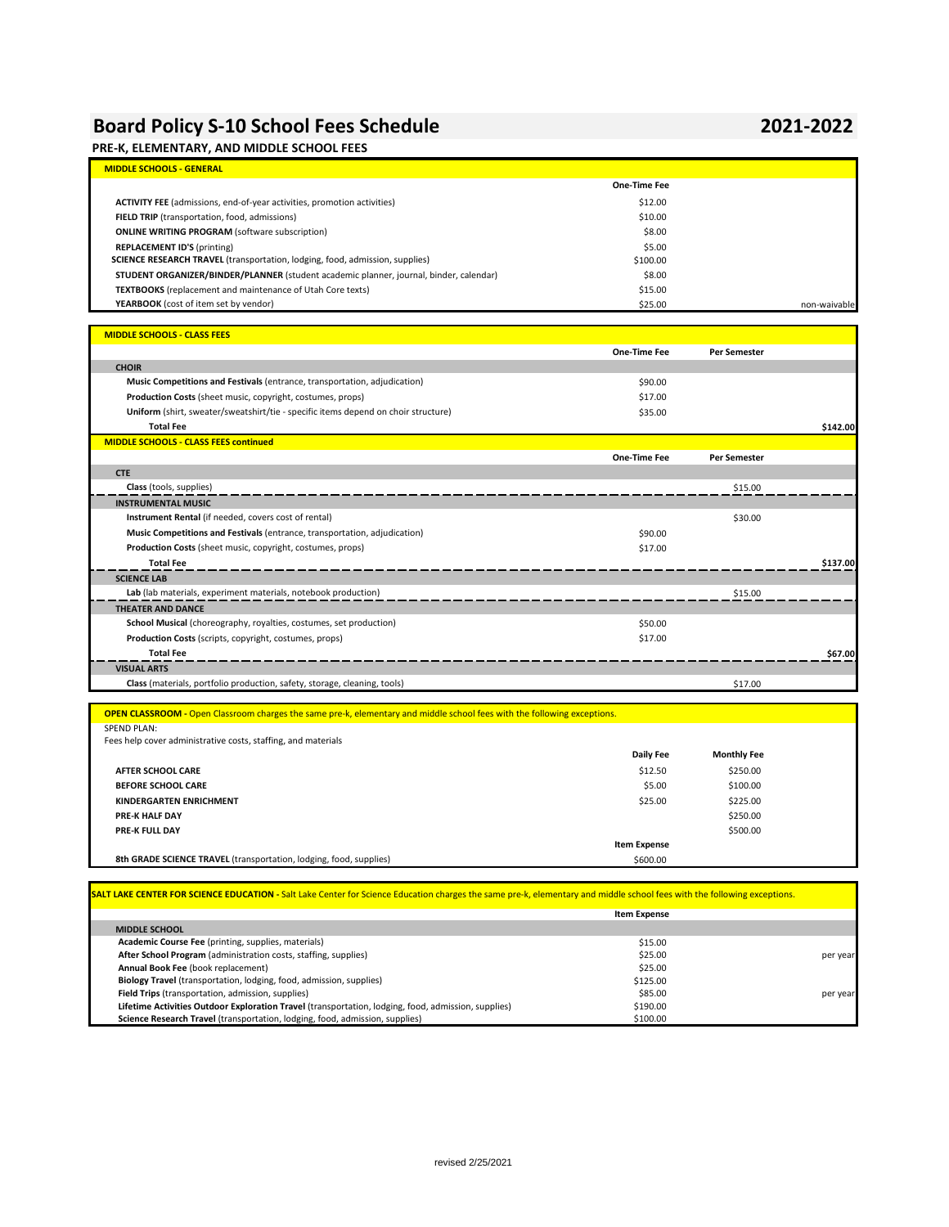## **Board Policy S-10 School Fees Schedule 2021-2022**

### **PRE-K, ELEMENTARY, AND MIDDLE SCHOOL FEES**

| <b>MIDDLE SCHOOLS - GENERAL</b>                                                        |              |              |
|----------------------------------------------------------------------------------------|--------------|--------------|
|                                                                                        | One-Time Fee |              |
| <b>ACTIVITY FEE</b> (admissions, end-of-year activities, promotion activities)         | \$12.00      |              |
| FIELD TRIP (transportation, food, admissions)                                          | \$10.00      |              |
| <b>ONLINE WRITING PROGRAM</b> (software subscription)                                  | \$8.00       |              |
| <b>REPLACEMENT ID'S (printing)</b>                                                     | \$5.00       |              |
| <b>SCIENCE RESEARCH TRAVEL</b> (transportation, lodging, food, admission, supplies)    | \$100.00     |              |
| STUDENT ORGANIZER/BINDER/PLANNER (student academic planner, journal, binder, calendar) | \$8.00       |              |
| <b>TEXTBOOKS</b> (replacement and maintenance of Utah Core texts)                      | \$15.00      |              |
| YEARBOOK (cost of item set by vendor)                                                  | \$25.00      | non-waivable |

| <b>MIDDLE SCHOOLS - CLASS FEES</b>                                                 |                     |                     |          |
|------------------------------------------------------------------------------------|---------------------|---------------------|----------|
|                                                                                    | One-Time Fee        | <b>Per Semester</b> |          |
| <b>CHOIR</b>                                                                       |                     |                     |          |
| Music Competitions and Festivals (entrance, transportation, adjudication)          | \$90.00             |                     |          |
| <b>Production Costs</b> (sheet music, copyright, costumes, props)                  | \$17.00             |                     |          |
| Uniform (shirt, sweater/sweatshirt/tie - specific items depend on choir structure) | \$35.00             |                     |          |
| <b>Total Fee</b>                                                                   |                     |                     | \$142.00 |
| <b>MIDDLE SCHOOLS - CLASS FEES continued</b>                                       |                     |                     |          |
|                                                                                    | <b>One-Time Fee</b> | <b>Per Semester</b> |          |
| <b>CTE</b>                                                                         |                     |                     |          |
| <b>Class</b> (tools, supplies)                                                     |                     | \$15.00             |          |
| <b>INSTRUMENTAL MUSIC</b>                                                          |                     |                     |          |
| Instrument Rental (if needed, covers cost of rental)                               |                     | \$30.00             |          |
| Music Competitions and Festivals (entrance, transportation, adjudication)          | \$90.00             |                     |          |
| <b>Production Costs (sheet music, copyright, costumes, props)</b>                  | \$17.00             |                     |          |
| <b>Total Fee</b>                                                                   |                     |                     | \$137.00 |
| <b>SCIENCE LAB</b>                                                                 |                     |                     |          |
| Lab (lab materials, experiment materials, notebook production)                     |                     | \$15.00             |          |
| <b>THEATER AND DANCE</b>                                                           |                     |                     |          |
| School Musical (choreography, royalties, costumes, set production)                 | \$50.00             |                     |          |
| <b>Production Costs</b> (scripts, copyright, costumes, props)                      | \$17.00             |                     |          |
| <b>Total Fee</b>                                                                   |                     |                     | \$67.00  |
| <b>VISUAL ARTS</b>                                                                 |                     |                     |          |
| Class (materials, portfolio production, safety, storage, cleaning, tools)          |                     | \$17.00             |          |
|                                                                                    |                     |                     |          |

### **OPEN CLASSROOM -** Open Classroom charges the same pre-k, elementary and middle school fees with the following exceptions. SPEND PLAN: Fees help cover administrative costs, staffing, and materials **Daily Fee Monthly Fee AFTER SCHOOL CARE** \$1250.00 \$250.00 \$250.00 \$250.00 \$250.00 \$250.00 \$250.00 \$12.50 \$12.50 \$250.00 \$250.00 \$250.00 \$250.00 \$250.00 \$250.00 \$250.00 \$250.00 \$250.00 \$250.00 \$250.00 \$250.00 \$250.00 \$250.00 \$250.00 \$250.00 \$25 **BEFORE SCHOOL CARE** \$100.00 \$100.00 \$100.00 \$100.00 \$100.00 \$100.00 \$100.00 \$100.00 \$100.00 \$100.00 \$100.00 \$100 **KINDERGARTEN ENRICHMENT**<br> **1992-1993 PRE-K HALF DAY**<br>
S250.00 \$250.00 \$250.00 \$250.00 \$250.00 \$250.00 \$250.00 \$250.00 \$250.00 \$250.00 \$250.00 \$250.00 \$250.00 \$250 **PRE-K HALF DAY** \$250.00 **PRE-K FULL DAY** \$500.00 **Item Expense 8th GRADE SCIENCE TRAVEL** (transportation, lodging, food, supplies) \$600.000 \$600.00

| SALT LAKE CENTER FOR SCIENCE EDUCATION - Salt Lake Center for Science Education charges the same pre-k, elementary and middle school fees with the following exceptions. |                     |          |
|--------------------------------------------------------------------------------------------------------------------------------------------------------------------------|---------------------|----------|
|                                                                                                                                                                          | <b>Item Expense</b> |          |
| <b>MIDDLE SCHOOL</b>                                                                                                                                                     |                     |          |
| Academic Course Fee (printing, supplies, materials)                                                                                                                      | \$15.00             |          |
| After School Program (administration costs, staffing, supplies)                                                                                                          | \$25.00             | per year |
| Annual Book Fee (book replacement)                                                                                                                                       | \$25.00             |          |
| Biology Travel (transportation, lodging, food, admission, supplies)                                                                                                      | \$125.00            |          |
| Field Trips (transportation, admission, supplies)                                                                                                                        | \$85.00             | per year |
| Lifetime Activities Outdoor Exploration Travel (transportation, lodging, food, admission, supplies)                                                                      | \$190.00            |          |
| Science Research Travel (transportation, lodging, food, admission, supplies)                                                                                             | \$100.00            |          |